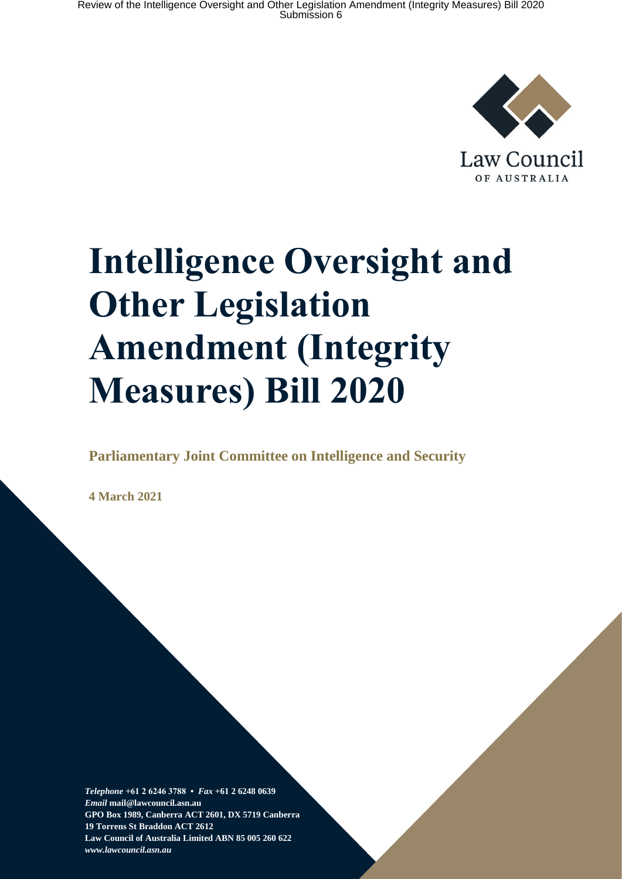

Law Council OF AUSTRALIA

# **Intelligence Oversight and Other Legislation Amendment (Integrity Measures) Bill 2020**

### **Parliamentary Joint Committee on Intelligence and Security**

**4 March 2021**

*Telephone* **+61 2 6246 3788 •** *Fax* **+61 2 6248 0639**  *Email* **mail@lawcouncil.asn.au GPO Box 1989, Canberra ACT 2601, DX 5719 Canberra 19 Torrens St Braddon ACT 2612 Law Council of Australia Limited ABN 85 005 260 622** *www.lawcouncil.asn.au*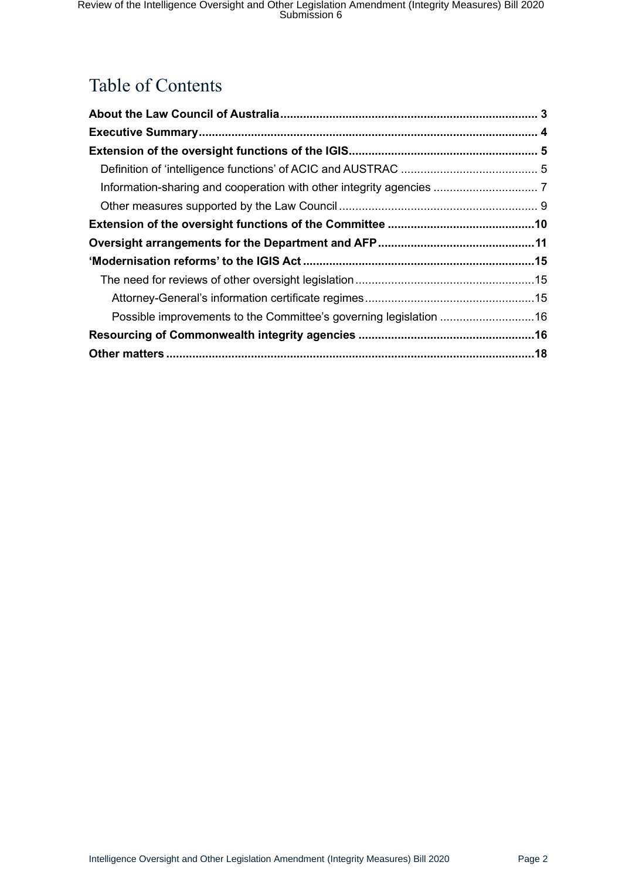# Table of Contents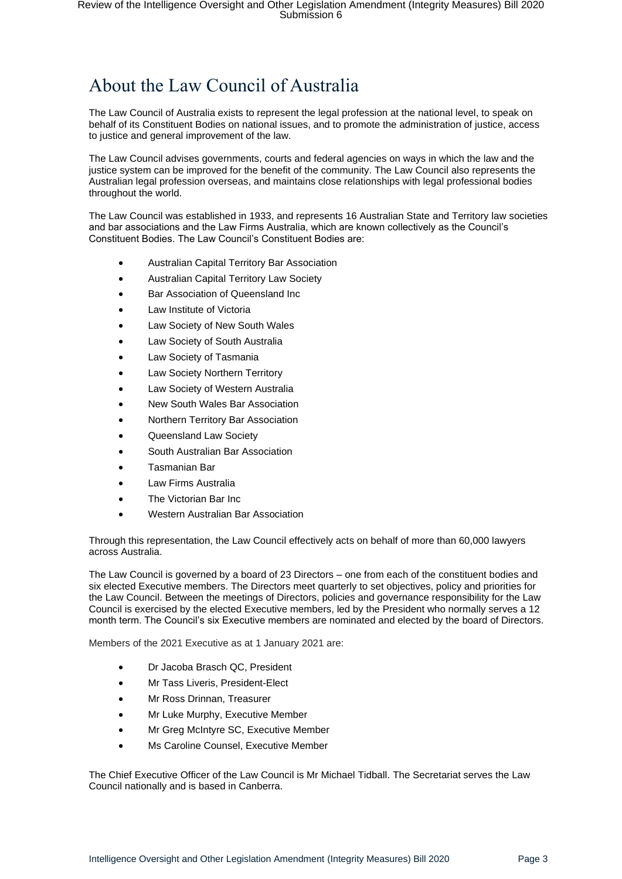# <span id="page-2-0"></span>About the Law Council of Australia

The Law Council of Australia exists to represent the legal profession at the national level, to speak on behalf of its Constituent Bodies on national issues, and to promote the administration of justice, access to justice and general improvement of the law.

The Law Council advises governments, courts and federal agencies on ways in which the law and the justice system can be improved for the benefit of the community. The Law Council also represents the Australian legal profession overseas, and maintains close relationships with legal professional bodies throughout the world.

The Law Council was established in 1933, and represents 16 Australian State and Territory law societies and bar associations and the Law Firms Australia, which are known collectively as the Council's Constituent Bodies. The Law Council's Constituent Bodies are:

- Australian Capital Territory Bar Association
- Australian Capital Territory Law Society
- Bar Association of Queensland Inc
- Law Institute of Victoria
- Law Society of New South Wales
- Law Society of South Australia
- Law Society of Tasmania
- Law Society Northern Territory
- Law Society of Western Australia
- New South Wales Bar Association
- Northern Territory Bar Association
- Queensland Law Society
- South Australian Bar Association
- Tasmanian Bar
- Law Firms Australia
- The Victorian Bar Inc
- Western Australian Bar Association

Through this representation, the Law Council effectively acts on behalf of more than 60,000 lawyers across Australia.

The Law Council is governed by a board of 23 Directors – one from each of the constituent bodies and six elected Executive members. The Directors meet quarterly to set objectives, policy and priorities for the Law Council. Between the meetings of Directors, policies and governance responsibility for the Law Council is exercised by the elected Executive members, led by the President who normally serves a 12 month term. The Council's six Executive members are nominated and elected by the board of Directors.

Members of the 2021 Executive as at 1 January 2021 are:

- Dr Jacoba Brasch QC, President
- Mr Tass Liveris, President-Elect
- Mr Ross Drinnan, Treasurer
- Mr Luke Murphy, Executive Member
- Mr Greg McIntyre SC, Executive Member
- Ms Caroline Counsel, Executive Member

The Chief Executive Officer of the Law Council is Mr Michael Tidball. The Secretariat serves the Law Council nationally and is based in Canberra.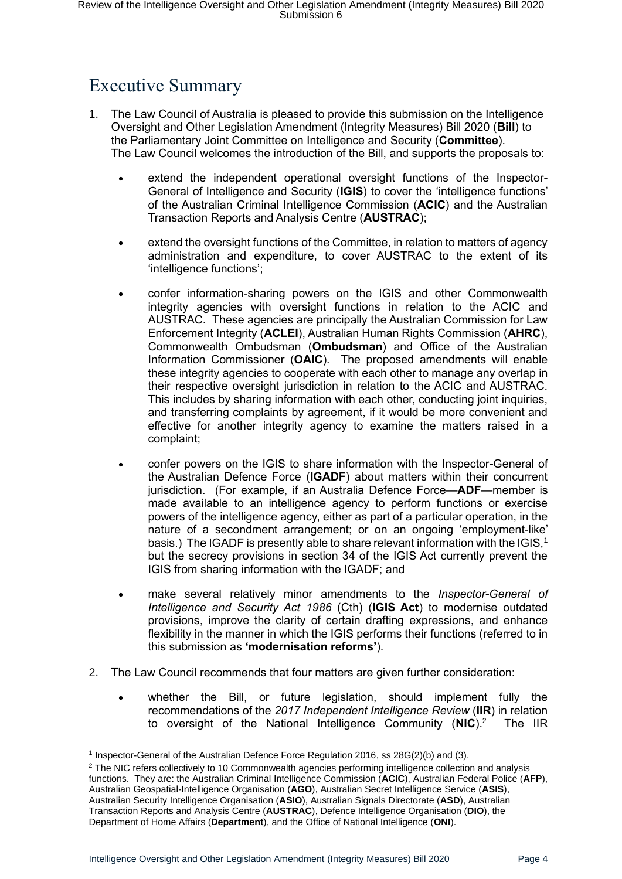# <span id="page-3-0"></span>Executive Summary

- 1. The Law Council of Australia is pleased to provide this submission on the Intelligence Oversight and Other Legislation Amendment (Integrity Measures) Bill 2020 (**Bill**) to the Parliamentary Joint Committee on Intelligence and Security (**Committee**). The Law Council welcomes the introduction of the Bill, and supports the proposals to:
	- extend the independent operational oversight functions of the Inspector-General of Intelligence and Security (**IGIS**) to cover the 'intelligence functions' of the Australian Criminal Intelligence Commission (**ACIC**) and the Australian Transaction Reports and Analysis Centre (**AUSTRAC**);
	- extend the oversight functions of the Committee, in relation to matters of agency administration and expenditure, to cover AUSTRAC to the extent of its 'intelligence functions';
	- confer information-sharing powers on the IGIS and other Commonwealth integrity agencies with oversight functions in relation to the ACIC and AUSTRAC. These agencies are principally the Australian Commission for Law Enforcement Integrity (**ACLEI**), Australian Human Rights Commission (**AHRC**), Commonwealth Ombudsman (**Ombudsman**) and Office of the Australian Information Commissioner (**OAIC**). The proposed amendments will enable these integrity agencies to cooperate with each other to manage any overlap in their respective oversight jurisdiction in relation to the ACIC and AUSTRAC. This includes by sharing information with each other, conducting joint inquiries, and transferring complaints by agreement, if it would be more convenient and effective for another integrity agency to examine the matters raised in a complaint;
	- confer powers on the IGIS to share information with the Inspector-General of the Australian Defence Force (**IGADF**) about matters within their concurrent jurisdiction. (For example, if an Australia Defence Force—**ADF**—member is made available to an intelligence agency to perform functions or exercise powers of the intelligence agency, either as part of a particular operation, in the nature of a secondment arrangement; or on an ongoing 'employment-like' basis.) The IGADF is presently able to share relevant information with the IGIS,<sup>1</sup> but the secrecy provisions in section 34 of the IGIS Act currently prevent the IGIS from sharing information with the IGADF; and
	- make several relatively minor amendments to the *Inspector-General of Intelligence and Security Act 1986* (Cth) (**IGIS Act**) to modernise outdated provisions, improve the clarity of certain drafting expressions, and enhance flexibility in the manner in which the IGIS performs their functions (referred to in this submission as **'modernisation reforms'**).
- 2. The Law Council recommends that four matters are given further consideration:
	- whether the Bill, or future legislation, should implement fully the recommendations of the *2017 Independent Intelligence Review* (**IIR**) in relation to oversight of the National Intelligence Community (**NIC**).<sup>2</sup> The IIR

<sup>1</sup> Inspector-General of the Australian Defence Force Regulation 2016, ss 28G(2)(b) and (3).

 $2$  The NIC refers collectively to 10 Commonwealth agencies performing intelligence collection and analysis functions. They are: the Australian Criminal Intelligence Commission (**ACIC**), Australian Federal Police (**AFP**), Australian Geospatial-Intelligence Organisation (**AGO**), Australian Secret Intelligence Service (**ASIS**), Australian Security Intelligence Organisation (**ASIO**), Australian Signals Directorate (**ASD**), Australian Transaction Reports and Analysis Centre (**AUSTRAC**), Defence Intelligence Organisation (**DIO**), the Department of Home Affairs (**Department**), and the Office of National Intelligence (**ONI**).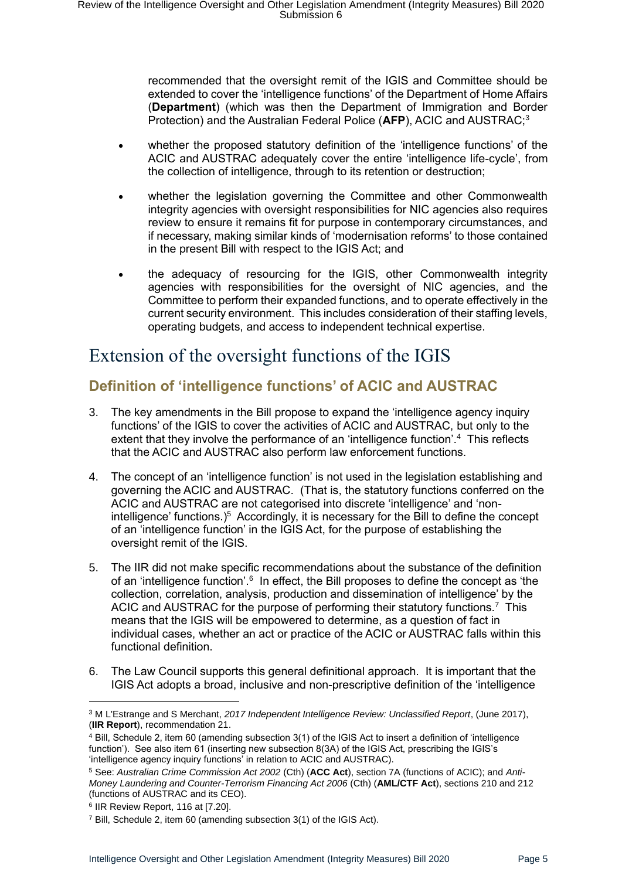recommended that the oversight remit of the IGIS and Committee should be extended to cover the 'intelligence functions' of the Department of Home Affairs (**Department**) (which was then the Department of Immigration and Border Protection) and the Australian Federal Police (**AFP**), ACIC and AUSTRAC;<sup>3</sup>

- whether the proposed statutory definition of the 'intelligence functions' of the ACIC and AUSTRAC adequately cover the entire 'intelligence life-cycle', from the collection of intelligence, through to its retention or destruction;
- whether the legislation governing the Committee and other Commonwealth integrity agencies with oversight responsibilities for NIC agencies also requires review to ensure it remains fit for purpose in contemporary circumstances, and if necessary, making similar kinds of 'modernisation reforms' to those contained in the present Bill with respect to the IGIS Act; and
- the adequacy of resourcing for the IGIS, other Commonwealth integrity agencies with responsibilities for the oversight of NIC agencies, and the Committee to perform their expanded functions, and to operate effectively in the current security environment. This includes consideration of their staffing levels, operating budgets, and access to independent technical expertise.

## <span id="page-4-0"></span>Extension of the oversight functions of the IGIS

## <span id="page-4-1"></span>**Definition of 'intelligence functions' of ACIC and AUSTRAC**

- 3. The key amendments in the Bill propose to expand the 'intelligence agency inquiry functions' of the IGIS to cover the activities of ACIC and AUSTRAC, but only to the extent that they involve the performance of an 'intelligence function'.<sup>4</sup> This reflects that the ACIC and AUSTRAC also perform law enforcement functions.
- 4. The concept of an 'intelligence function' is not used in the legislation establishing and governing the ACIC and AUSTRAC. (That is, the statutory functions conferred on the ACIC and AUSTRAC are not categorised into discrete 'intelligence' and 'nonintelligence' functions.)<sup>5</sup> Accordingly, it is necessary for the Bill to define the concept of an 'intelligence function' in the IGIS Act, for the purpose of establishing the oversight remit of the IGIS.
- 5. The IIR did not make specific recommendations about the substance of the definition of an 'intelligence function'.<sup>6</sup> In effect, the Bill proposes to define the concept as 'the collection, correlation, analysis, production and dissemination of intelligence' by the ACIC and AUSTRAC for the purpose of performing their statutory functions.<sup>7</sup> This means that the IGIS will be empowered to determine, as a question of fact in individual cases, whether an act or practice of the ACIC or AUSTRAC falls within this functional definition.
- 6. The Law Council supports this general definitional approach. It is important that the IGIS Act adopts a broad, inclusive and non-prescriptive definition of the 'intelligence

<sup>3</sup> M L'Estrange and S Merchant, *2017 Independent Intelligence Review: Unclassified Report*, (June 2017), (**IIR Report**), recommendation 21.

<sup>4</sup> Bill, Schedule 2, item 60 (amending subsection 3(1) of the IGIS Act to insert a definition of 'intelligence function'). See also item 61 (inserting new subsection 8(3A) of the IGIS Act, prescribing the IGIS's 'intelligence agency inquiry functions' in relation to ACIC and AUSTRAC).

<sup>5</sup> See: *Australian Crime Commission Act 2002* (Cth) (**ACC Act**), section 7A (functions of ACIC); and *Anti-Money Laundering and Counter-Terrorism Financing Act 2006* (Cth) (**AML/CTF Act**), sections 210 and 212 (functions of AUSTRAC and its CEO).

<sup>6</sup> IIR Review Report, 116 at [7.20].

<sup>7</sup> Bill, Schedule 2, item 60 (amending subsection 3(1) of the IGIS Act).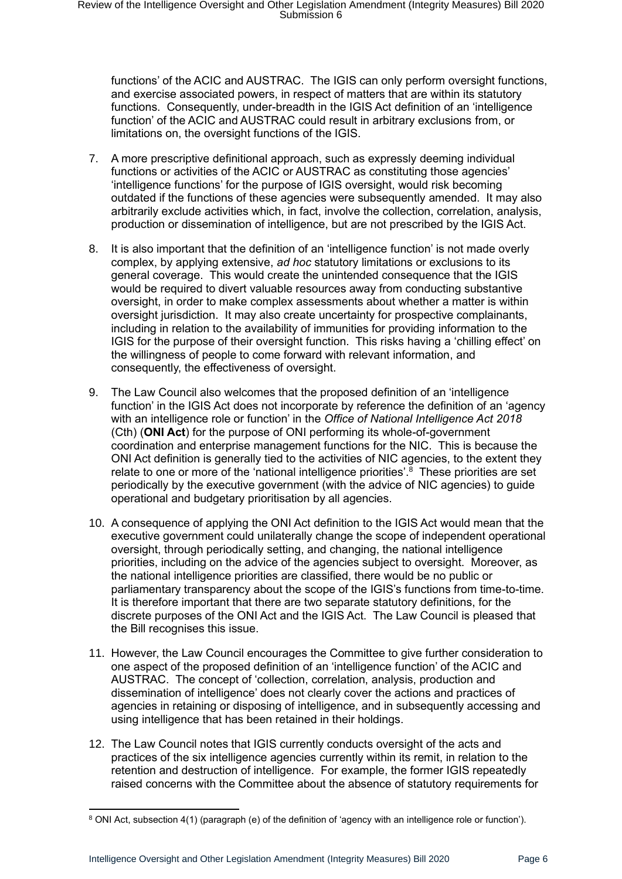functions' of the ACIC and AUSTRAC. The IGIS can only perform oversight functions, and exercise associated powers, in respect of matters that are within its statutory functions. Consequently, under-breadth in the IGIS Act definition of an 'intelligence function' of the ACIC and AUSTRAC could result in arbitrary exclusions from, or limitations on, the oversight functions of the IGIS.

- 7. A more prescriptive definitional approach, such as expressly deeming individual functions or activities of the ACIC or AUSTRAC as constituting those agencies' 'intelligence functions' for the purpose of IGIS oversight, would risk becoming outdated if the functions of these agencies were subsequently amended. It may also arbitrarily exclude activities which, in fact, involve the collection, correlation, analysis, production or dissemination of intelligence, but are not prescribed by the IGIS Act.
- 8. It is also important that the definition of an 'intelligence function' is not made overly complex, by applying extensive, *ad hoc* statutory limitations or exclusions to its general coverage. This would create the unintended consequence that the IGIS would be required to divert valuable resources away from conducting substantive oversight, in order to make complex assessments about whether a matter is within oversight jurisdiction. It may also create uncertainty for prospective complainants, including in relation to the availability of immunities for providing information to the IGIS for the purpose of their oversight function. This risks having a 'chilling effect' on the willingness of people to come forward with relevant information, and consequently, the effectiveness of oversight.
- 9. The Law Council also welcomes that the proposed definition of an 'intelligence function' in the IGIS Act does not incorporate by reference the definition of an 'agency with an intelligence role or function' in the *Office of National Intelligence Act 2018*  (Cth) (**ONI Act**) for the purpose of ONI performing its whole-of-government coordination and enterprise management functions for the NIC. This is because the ONI Act definition is generally tied to the activities of NIC agencies, to the extent they relate to one or more of the 'national intelligence priorities'.<sup>8</sup> These priorities are set periodically by the executive government (with the advice of NIC agencies) to guide operational and budgetary prioritisation by all agencies.
- 10. A consequence of applying the ONI Act definition to the IGIS Act would mean that the executive government could unilaterally change the scope of independent operational oversight, through periodically setting, and changing, the national intelligence priorities, including on the advice of the agencies subject to oversight. Moreover, as the national intelligence priorities are classified, there would be no public or parliamentary transparency about the scope of the IGIS's functions from time-to-time. It is therefore important that there are two separate statutory definitions, for the discrete purposes of the ONI Act and the IGIS Act. The Law Council is pleased that the Bill recognises this issue.
- 11. However, the Law Council encourages the Committee to give further consideration to one aspect of the proposed definition of an 'intelligence function' of the ACIC and AUSTRAC. The concept of 'collection, correlation, analysis, production and dissemination of intelligence' does not clearly cover the actions and practices of agencies in retaining or disposing of intelligence, and in subsequently accessing and using intelligence that has been retained in their holdings.
- 12. The Law Council notes that IGIS currently conducts oversight of the acts and practices of the six intelligence agencies currently within its remit, in relation to the retention and destruction of intelligence. For example, the former IGIS repeatedly raised concerns with the Committee about the absence of statutory requirements for

<sup>8</sup> ONI Act, subsection 4(1) (paragraph (e) of the definition of 'agency with an intelligence role or function').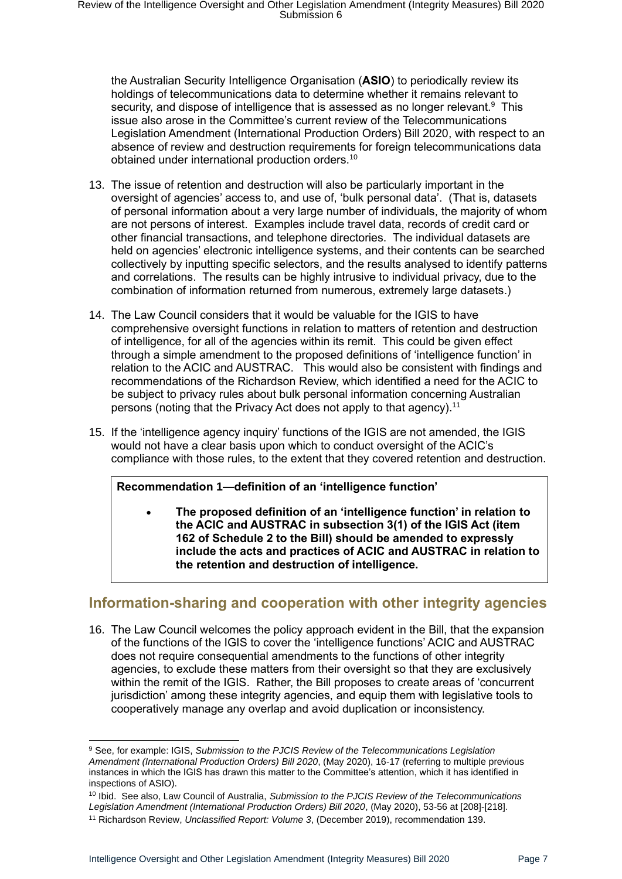the Australian Security Intelligence Organisation (**ASIO**) to periodically review its holdings of telecommunications data to determine whether it remains relevant to security, and dispose of intelligence that is assessed as no longer relevant.<sup>9</sup> This issue also arose in the Committee's current review of the Telecommunications Legislation Amendment (International Production Orders) Bill 2020, with respect to an absence of review and destruction requirements for foreign telecommunications data obtained under international production orders.<sup>10</sup>

- 13. The issue of retention and destruction will also be particularly important in the oversight of agencies' access to, and use of, 'bulk personal data'. (That is, datasets of personal information about a very large number of individuals, the majority of whom are not persons of interest. Examples include travel data, records of credit card or other financial transactions, and telephone directories. The individual datasets are held on agencies' electronic intelligence systems, and their contents can be searched collectively by inputting specific selectors, and the results analysed to identify patterns and correlations. The results can be highly intrusive to individual privacy, due to the combination of information returned from numerous, extremely large datasets.)
- 14. The Law Council considers that it would be valuable for the IGIS to have comprehensive oversight functions in relation to matters of retention and destruction of intelligence, for all of the agencies within its remit. This could be given effect through a simple amendment to the proposed definitions of 'intelligence function' in relation to the ACIC and AUSTRAC. This would also be consistent with findings and recommendations of the Richardson Review, which identified a need for the ACIC to be subject to privacy rules about bulk personal information concerning Australian persons (noting that the Privacy Act does not apply to that agency).<sup>11</sup>
- 15. If the 'intelligence agency inquiry' functions of the IGIS are not amended, the IGIS would not have a clear basis upon which to conduct oversight of the ACIC's compliance with those rules, to the extent that they covered retention and destruction.

#### **Recommendation 1—definition of an 'intelligence function'**

• **The proposed definition of an 'intelligence function' in relation to the ACIC and AUSTRAC in subsection 3(1) of the IGIS Act (item 162 of Schedule 2 to the Bill) should be amended to expressly include the acts and practices of ACIC and AUSTRAC in relation to the retention and destruction of intelligence.**

#### <span id="page-6-0"></span>**Information-sharing and cooperation with other integrity agencies**

16. The Law Council welcomes the policy approach evident in the Bill, that the expansion of the functions of the IGIS to cover the 'intelligence functions' ACIC and AUSTRAC does not require consequential amendments to the functions of other integrity agencies, to exclude these matters from their oversight so that they are exclusively within the remit of the IGIS. Rather, the Bill proposes to create areas of 'concurrent jurisdiction' among these integrity agencies, and equip them with legislative tools to cooperatively manage any overlap and avoid duplication or inconsistency.

<sup>9</sup> See, for example: IGIS, *Submission to the PJCIS Review of the Telecommunications Legislation Amendment (International Production Orders) Bill 2020*, (May 2020), 16-17 (referring to multiple previous instances in which the IGIS has drawn this matter to the Committee's attention, which it has identified in inspections of ASIO).

<sup>10</sup> Ibid. See also, Law Council of Australia, *Submission to the PJCIS Review of the Telecommunications Legislation Amendment (International Production Orders) Bill 2020*, (May 2020), 53-56 at [208]-[218].

<sup>11</sup> Richardson Review, *Unclassified Report: Volume 3*, (December 2019), recommendation 139.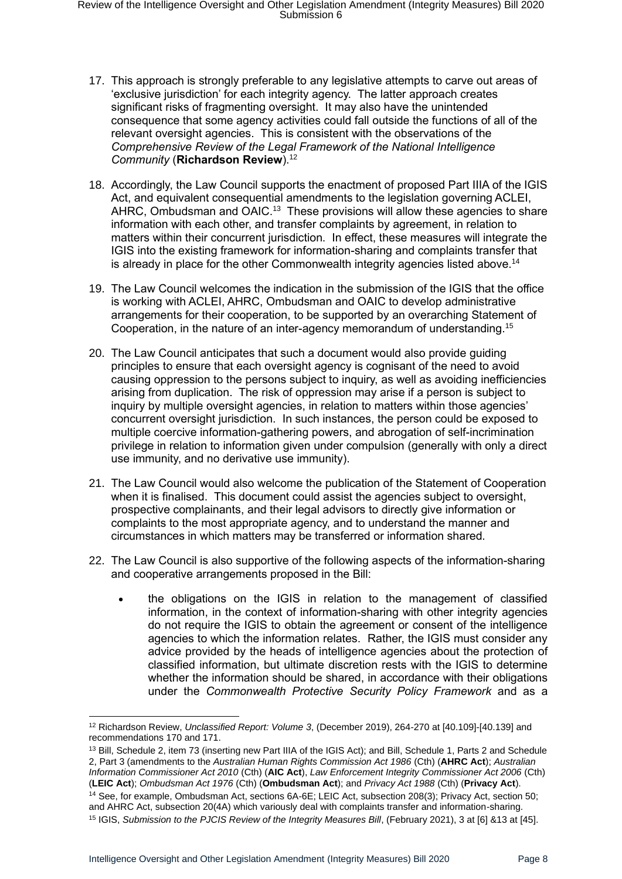- 17. This approach is strongly preferable to any legislative attempts to carve out areas of 'exclusive jurisdiction' for each integrity agency. The latter approach creates significant risks of fragmenting oversight. It may also have the unintended consequence that some agency activities could fall outside the functions of all of the relevant oversight agencies. This is consistent with the observations of the *Comprehensive Review of the Legal Framework of the National Intelligence Community* (**Richardson Review**).<sup>12</sup>
- 18. Accordingly, the Law Council supports the enactment of proposed Part IIIA of the IGIS Act, and equivalent consequential amendments to the legislation governing ACLEI, AHRC, Ombudsman and OAIC.<sup>13</sup> These provisions will allow these agencies to share information with each other, and transfer complaints by agreement, in relation to matters within their concurrent jurisdiction. In effect, these measures will integrate the IGIS into the existing framework for information-sharing and complaints transfer that is already in place for the other Commonwealth integrity agencies listed above.<sup>14</sup>
- 19. The Law Council welcomes the indication in the submission of the IGIS that the office is working with ACLEI, AHRC, Ombudsman and OAIC to develop administrative arrangements for their cooperation, to be supported by an overarching Statement of Cooperation, in the nature of an inter-agency memorandum of understanding.<sup>15</sup>
- 20. The Law Council anticipates that such a document would also provide guiding principles to ensure that each oversight agency is cognisant of the need to avoid causing oppression to the persons subject to inquiry, as well as avoiding inefficiencies arising from duplication. The risk of oppression may arise if a person is subject to inquiry by multiple oversight agencies, in relation to matters within those agencies' concurrent oversight jurisdiction. In such instances, the person could be exposed to multiple coercive information-gathering powers, and abrogation of self-incrimination privilege in relation to information given under compulsion (generally with only a direct use immunity, and no derivative use immunity).
- 21. The Law Council would also welcome the publication of the Statement of Cooperation when it is finalised. This document could assist the agencies subject to oversight, prospective complainants, and their legal advisors to directly give information or complaints to the most appropriate agency, and to understand the manner and circumstances in which matters may be transferred or information shared.
- 22. The Law Council is also supportive of the following aspects of the information-sharing and cooperative arrangements proposed in the Bill:
	- the obligations on the IGIS in relation to the management of classified information, in the context of information-sharing with other integrity agencies do not require the IGIS to obtain the agreement or consent of the intelligence agencies to which the information relates. Rather, the IGIS must consider any advice provided by the heads of intelligence agencies about the protection of classified information, but ultimate discretion rests with the IGIS to determine whether the information should be shared, in accordance with their obligations under the *Commonwealth Protective Security Policy Framework* and as a

<sup>12</sup> Richardson Review, *Unclassified Report: Volume 3*, (December 2019), 264-270 at [40.109]-[40.139] and recommendations 170 and 171.

<sup>13</sup> Bill, Schedule 2, item 73 (inserting new Part IIIA of the IGIS Act); and Bill, Schedule 1, Parts 2 and Schedule 2, Part 3 (amendments to the *Australian Human Rights Commission Act 1986* (Cth) (**AHRC Act**); *Australian Information Commissioner Act 2010* (Cth) (**AIC Act**), *Law Enforcement Integrity Commissioner Act 2006* (Cth) (**LEIC Act**); *Ombudsman Act 1976* (Cth) (**Ombudsman Act**); and *Privacy Act 1988* (Cth) (**Privacy Act**). <sup>14</sup> See, for example, Ombudsman Act, sections 6A-6E; LEIC Act, subsection 208(3); Privacy Act, section 50; and AHRC Act, subsection 20(4A) which variously deal with complaints transfer and information-sharing.

<sup>&</sup>lt;sup>15</sup> IGIS, *Submission to the PJCIS Review of the Integrity Measures Bill*, (February 2021), 3 at [6] &13 at [45].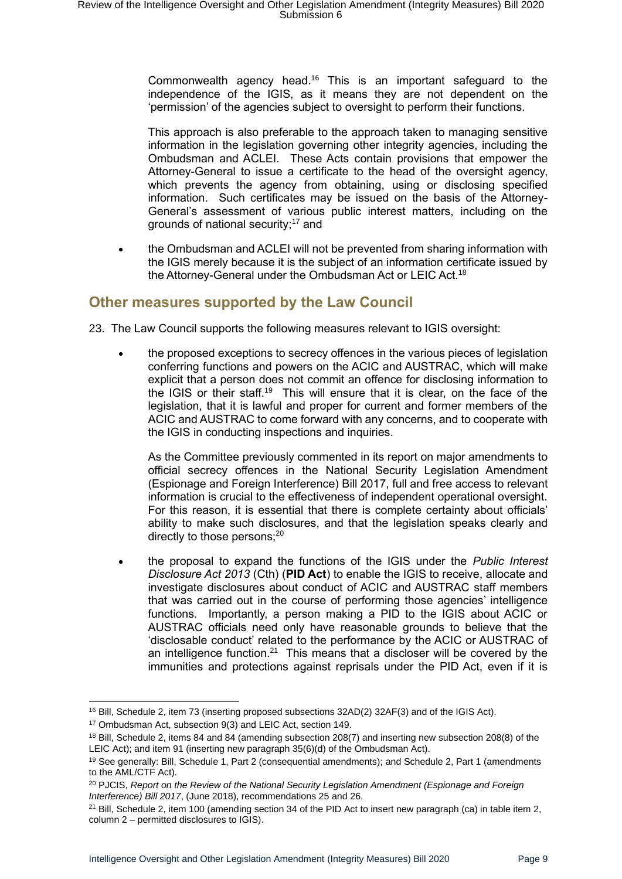Commonwealth agency head.<sup>16</sup> This is an important safeguard to the independence of the IGIS, as it means they are not dependent on the 'permission' of the agencies subject to oversight to perform their functions.

This approach is also preferable to the approach taken to managing sensitive information in the legislation governing other integrity agencies, including the Ombudsman and ACLEI. These Acts contain provisions that empower the Attorney-General to issue a certificate to the head of the oversight agency, which prevents the agency from obtaining, using or disclosing specified information. Such certificates may be issued on the basis of the Attorney-General's assessment of various public interest matters, including on the grounds of national security; $17$  and

• the Ombudsman and ACLEI will not be prevented from sharing information with the IGIS merely because it is the subject of an information certificate issued by the Attorney-General under the Ombudsman Act or LEIC Act.<sup>18</sup>

#### <span id="page-8-0"></span>**Other measures supported by the Law Council**

- 23. The Law Council supports the following measures relevant to IGIS oversight:
	- the proposed exceptions to secrecy offences in the various pieces of legislation conferring functions and powers on the ACIC and AUSTRAC, which will make explicit that a person does not commit an offence for disclosing information to the IGIS or their staff.<sup>19</sup> This will ensure that it is clear, on the face of the legislation, that it is lawful and proper for current and former members of the ACIC and AUSTRAC to come forward with any concerns, and to cooperate with the IGIS in conducting inspections and inquiries.

As the Committee previously commented in its report on major amendments to official secrecy offences in the National Security Legislation Amendment (Espionage and Foreign Interference) Bill 2017, full and free access to relevant information is crucial to the effectiveness of independent operational oversight. For this reason, it is essential that there is complete certainty about officials' ability to make such disclosures, and that the legislation speaks clearly and directly to those persons: $20$ 

• the proposal to expand the functions of the IGIS under the *Public Interest Disclosure Act 2013* (Cth) (**PID Act**) to enable the IGIS to receive, allocate and investigate disclosures about conduct of ACIC and AUSTRAC staff members that was carried out in the course of performing those agencies' intelligence functions. Importantly, a person making a PID to the IGIS about ACIC or AUSTRAC officials need only have reasonable grounds to believe that the 'disclosable conduct' related to the performance by the ACIC or AUSTRAC of an intelligence function. $21$  This means that a discloser will be covered by the immunities and protections against reprisals under the PID Act, even if it is

<sup>16</sup> Bill, Schedule 2, item 73 (inserting proposed subsections 32AD(2) 32AF(3) and of the IGIS Act).

<sup>17</sup> Ombudsman Act, subsection 9(3) and LEIC Act, section 149.

<sup>&</sup>lt;sup>18</sup> Bill, Schedule 2, items 84 and 84 (amending subsection 208(7) and inserting new subsection 208(8) of the LEIC Act); and item 91 (inserting new paragraph 35(6)(d) of the Ombudsman Act).

<sup>&</sup>lt;sup>19</sup> See generally: Bill, Schedule 1, Part 2 (consequential amendments); and Schedule 2, Part 1 (amendments to the AML/CTF Act).

<sup>20</sup> PJCIS, *Report on the Review of the National Security Legislation Amendment (Espionage and Foreign Interference) Bill 2017*, (June 2018), recommendations 25 and 26.

 $21$  Bill, Schedule 2, item 100 (amending section 34 of the PID Act to insert new paragraph (ca) in table item 2, column 2 – permitted disclosures to IGIS).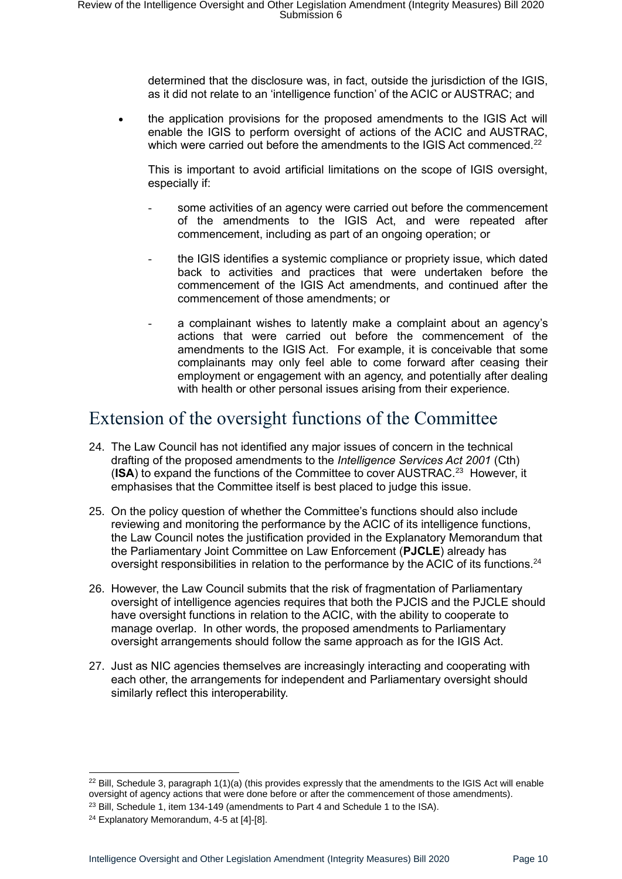determined that the disclosure was, in fact, outside the jurisdiction of the IGIS, as it did not relate to an 'intelligence function' of the ACIC or AUSTRAC; and

• the application provisions for the proposed amendments to the IGIS Act will enable the IGIS to perform oversight of actions of the ACIC and AUSTRAC, which were carried out before the amendments to the IGIS Act commenced.<sup>22</sup>

This is important to avoid artificial limitations on the scope of IGIS oversight, especially if:

- some activities of an agency were carried out before the commencement of the amendments to the IGIS Act, and were repeated after commencement, including as part of an ongoing operation; or
- the IGIS identifies a systemic compliance or propriety issue, which dated back to activities and practices that were undertaken before the commencement of the IGIS Act amendments, and continued after the commencement of those amendments; or
- a complainant wishes to latently make a complaint about an agency's actions that were carried out before the commencement of the amendments to the IGIS Act. For example, it is conceivable that some complainants may only feel able to come forward after ceasing their employment or engagement with an agency, and potentially after dealing with health or other personal issues arising from their experience.

## <span id="page-9-0"></span>Extension of the oversight functions of the Committee

- 24. The Law Council has not identified any major issues of concern in the technical drafting of the proposed amendments to the *Intelligence Services Act 2001* (Cth) (ISA) to expand the functions of the Committee to cover AUSTRAC.<sup>23</sup> However, it emphasises that the Committee itself is best placed to judge this issue.
- 25. On the policy question of whether the Committee's functions should also include reviewing and monitoring the performance by the ACIC of its intelligence functions, the Law Council notes the justification provided in the Explanatory Memorandum that the Parliamentary Joint Committee on Law Enforcement (**PJCLE**) already has oversight responsibilities in relation to the performance by the ACIC of its functions.<sup>24</sup>
- 26. However, the Law Council submits that the risk of fragmentation of Parliamentary oversight of intelligence agencies requires that both the PJCIS and the PJCLE should have oversight functions in relation to the ACIC, with the ability to cooperate to manage overlap. In other words, the proposed amendments to Parliamentary oversight arrangements should follow the same approach as for the IGIS Act.
- 27. Just as NIC agencies themselves are increasingly interacting and cooperating with each other, the arrangements for independent and Parliamentary oversight should similarly reflect this interoperability.

<sup>&</sup>lt;sup>22</sup> Bill, Schedule 3, paragraph  $1(1)(a)$  (this provides expressly that the amendments to the IGIS Act will enable oversight of agency actions that were done before or after the commencement of those amendments).

<sup>&</sup>lt;sup>23</sup> Bill, Schedule 1, item 134-149 (amendments to Part 4 and Schedule 1 to the ISA).

<sup>&</sup>lt;sup>24</sup> Explanatory Memorandum, 4-5 at [4]-[8].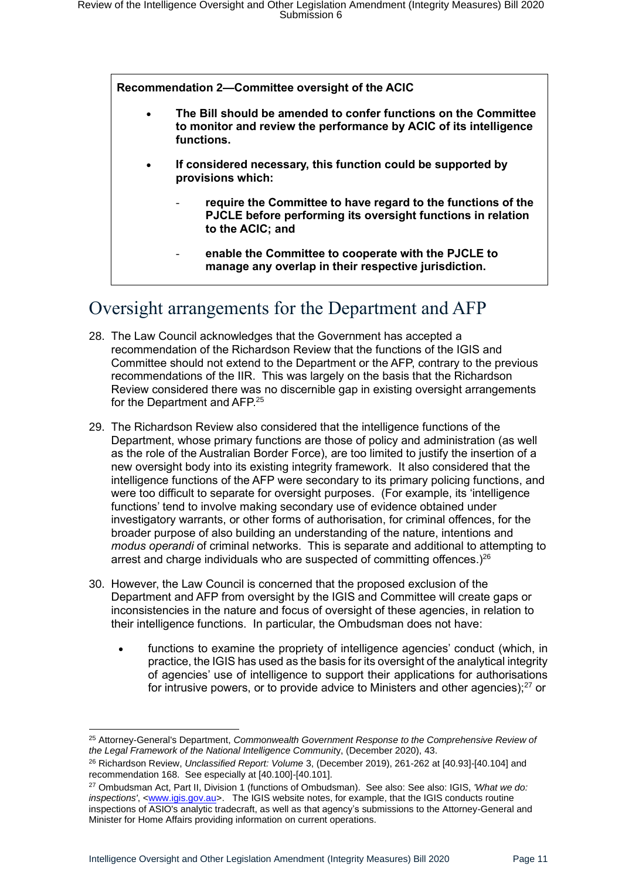**Recommendation 2—Committee oversight of the ACIC**

- **The Bill should be amended to confer functions on the Committee to monitor and review the performance by ACIC of its intelligence functions.**
- **If considered necessary, this function could be supported by provisions which:**
	- require the Committee to have regard to the functions of the **PJCLE before performing its oversight functions in relation to the ACIC; and**
	- **enable the Committee to cooperate with the PJCLE to manage any overlap in their respective jurisdiction.**

## <span id="page-10-0"></span>Oversight arrangements for the Department and AFP

- 28. The Law Council acknowledges that the Government has accepted a recommendation of the Richardson Review that the functions of the IGIS and Committee should not extend to the Department or the AFP, contrary to the previous recommendations of the IIR. This was largely on the basis that the Richardson Review considered there was no discernible gap in existing oversight arrangements for the Department and AFP.<sup>25</sup>
- 29. The Richardson Review also considered that the intelligence functions of the Department, whose primary functions are those of policy and administration (as well as the role of the Australian Border Force), are too limited to justify the insertion of a new oversight body into its existing integrity framework. It also considered that the intelligence functions of the AFP were secondary to its primary policing functions, and were too difficult to separate for oversight purposes. (For example, its 'intelligence functions' tend to involve making secondary use of evidence obtained under investigatory warrants, or other forms of authorisation, for criminal offences, for the broader purpose of also building an understanding of the nature, intentions and *modus operandi* of criminal networks. This is separate and additional to attempting to arrest and charge individuals who are suspected of committing offences.)<sup>26</sup>
- 30. However, the Law Council is concerned that the proposed exclusion of the Department and AFP from oversight by the IGIS and Committee will create gaps or inconsistencies in the nature and focus of oversight of these agencies, in relation to their intelligence functions. In particular, the Ombudsman does not have:
	- functions to examine the propriety of intelligence agencies' conduct (which, in practice, the IGIS has used as the basis for its oversight of the analytical integrity of agencies' use of intelligence to support their applications for authorisations for intrusive powers, or to provide advice to Ministers and other agencies); $^{27}$  or

<sup>25</sup> Attorney-General's Department, *Commonwealth Government Response to the Comprehensive Review of the Legal Framework of the National Intelligence Communit*y, (December 2020), 43.

<sup>26</sup> Richardson Review, *Unclassified Report: Volume* 3, (December 2019), 261-262 at [40.93]-[40.104] and recommendation 168. See especially at [40.100]-[40.101].

<sup>27</sup> Ombudsman Act, Part II, Division 1 (functions of Ombudsman). See also: See also: IGIS, *'What we do: inspections'*, [<www.igis.gov.au>](http://www.igis.gov.au/). The IGIS website notes, for example, that the IGIS conducts routine inspections of ASIO's analytic tradecraft, as well as that agency's submissions to the Attorney-General and Minister for Home Affairs providing information on current operations.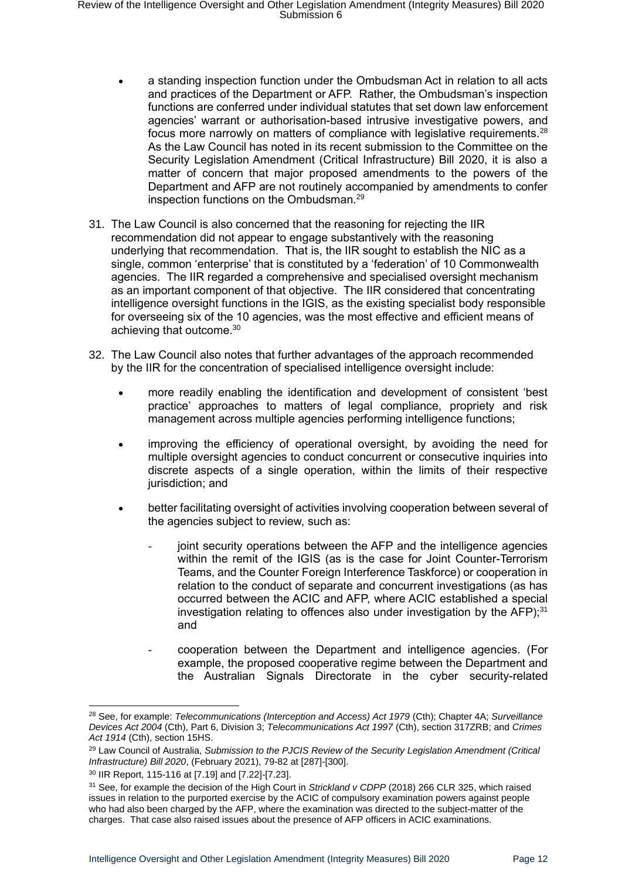- a standing inspection function under the Ombudsman Act in relation to all acts and practices of the Department or AFP. Rather, the Ombudsman's inspection functions are conferred under individual statutes that set down law enforcement agencies' warrant or authorisation-based intrusive investigative powers, and focus more narrowly on matters of compliance with legislative requirements.<sup>28</sup> As the Law Council has noted in its recent submission to the Committee on the Security Legislation Amendment (Critical Infrastructure) Bill 2020, it is also a matter of concern that major proposed amendments to the powers of the Department and AFP are not routinely accompanied by amendments to confer inspection functions on the Ombudsman.<sup>29</sup>
- 31. The Law Council is also concerned that the reasoning for rejecting the IIR recommendation did not appear to engage substantively with the reasoning underlying that recommendation. That is, the IIR sought to establish the NIC as a single, common 'enterprise' that is constituted by a 'federation' of 10 Commonwealth agencies. The IIR regarded a comprehensive and specialised oversight mechanism as an important component of that objective. The IIR considered that concentrating intelligence oversight functions in the IGIS, as the existing specialist body responsible for overseeing six of the 10 agencies, was the most effective and efficient means of achieving that outcome.<sup>30</sup>
- 32. The Law Council also notes that further advantages of the approach recommended by the IIR for the concentration of specialised intelligence oversight include:
	- more readily enabling the identification and development of consistent 'best practice' approaches to matters of legal compliance, propriety and risk management across multiple agencies performing intelligence functions;
	- improving the efficiency of operational oversight, by avoiding the need for multiple oversight agencies to conduct concurrent or consecutive inquiries into discrete aspects of a single operation, within the limits of their respective jurisdiction; and
	- better facilitating oversight of activities involving cooperation between several of the agencies subject to review, such as:
		- joint security operations between the AFP and the intelligence agencies within the remit of the IGIS (as is the case for Joint Counter-Terrorism Teams, and the Counter Foreign Interference Taskforce) or cooperation in relation to the conduct of separate and concurrent investigations (as has occurred between the ACIC and AFP, where ACIC established a special investigation relating to offences also under investigation by the  $AFP$ );<sup>31</sup> and
		- cooperation between the Department and intelligence agencies. (For example, the proposed cooperative regime between the Department and the Australian Signals Directorate in the cyber security-related

<sup>28</sup> See, for example: *Telecommunications (Interception and Access) Act 1979* (Cth); Chapter 4A; *Surveillance Devices Act 2004* (Cth), Part 6, Division 3; *Telecommunications Act 1997* (Cth), section 317ZRB; and *Crimes Act 1914* (Cth), section 15HS.

<sup>29</sup> Law Council of Australia, *Submission to the PJCIS Review of the Security Legislation Amendment (Critical Infrastructure) Bill 2020*, (February 2021), 79-82 at [287]-[300].

<sup>30</sup> IIR Report, 115-116 at [7.19] and [7.22]-[7.23].

<sup>31</sup> See, for example the decision of the High Court in *Strickland v CDPP* (2018) 266 CLR 325, which raised issues in relation to the purported exercise by the ACIC of compulsory examination powers against people who had also been charged by the AFP, where the examination was directed to the subject-matter of the charges. That case also raised issues about the presence of AFP officers in ACIC examinations.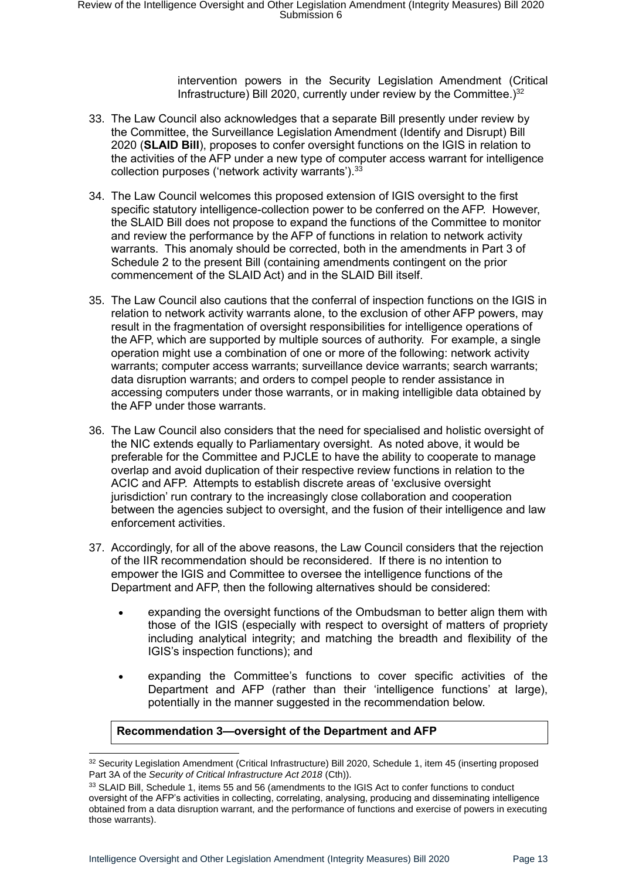intervention powers in the Security Legislation Amendment (Critical Infrastructure) Bill 2020, currently under review by the Committee.)<sup>32</sup>

- 33. The Law Council also acknowledges that a separate Bill presently under review by the Committee, the Surveillance Legislation Amendment (Identify and Disrupt) Bill 2020 (**SLAID Bill**), proposes to confer oversight functions on the IGIS in relation to the activities of the AFP under a new type of computer access warrant for intelligence collection purposes ('network activity warrants'). 33
- 34. The Law Council welcomes this proposed extension of IGIS oversight to the first specific statutory intelligence-collection power to be conferred on the AFP. However, the SLAID Bill does not propose to expand the functions of the Committee to monitor and review the performance by the AFP of functions in relation to network activity warrants. This anomaly should be corrected, both in the amendments in Part 3 of Schedule 2 to the present Bill (containing amendments contingent on the prior commencement of the SLAID Act) and in the SLAID Bill itself.
- 35. The Law Council also cautions that the conferral of inspection functions on the IGIS in relation to network activity warrants alone, to the exclusion of other AFP powers, may result in the fragmentation of oversight responsibilities for intelligence operations of the AFP, which are supported by multiple sources of authority. For example, a single operation might use a combination of one or more of the following: network activity warrants; computer access warrants; surveillance device warrants; search warrants; data disruption warrants; and orders to compel people to render assistance in accessing computers under those warrants, or in making intelligible data obtained by the AFP under those warrants.
- 36. The Law Council also considers that the need for specialised and holistic oversight of the NIC extends equally to Parliamentary oversight. As noted above, it would be preferable for the Committee and PJCLE to have the ability to cooperate to manage overlap and avoid duplication of their respective review functions in relation to the ACIC and AFP. Attempts to establish discrete areas of 'exclusive oversight jurisdiction' run contrary to the increasingly close collaboration and cooperation between the agencies subject to oversight, and the fusion of their intelligence and law enforcement activities.
- 37. Accordingly, for all of the above reasons, the Law Council considers that the rejection of the IIR recommendation should be reconsidered. If there is no intention to empower the IGIS and Committee to oversee the intelligence functions of the Department and AFP, then the following alternatives should be considered:
	- expanding the oversight functions of the Ombudsman to better align them with those of the IGIS (especially with respect to oversight of matters of propriety including analytical integrity; and matching the breadth and flexibility of the IGIS's inspection functions); and
	- expanding the Committee's functions to cover specific activities of the Department and AFP (rather than their 'intelligence functions' at large), potentially in the manner suggested in the recommendation below.

#### **Recommendation 3—oversight of the Department and AFP**

<sup>32</sup> Security Legislation Amendment (Critical Infrastructure) Bill 2020, Schedule 1, item 45 (inserting proposed Part 3A of the *Security of Critical Infrastructure Act 2018* (Cth)).

<sup>33</sup> SLAID Bill, Schedule 1, items 55 and 56 (amendments to the IGIS Act to confer functions to conduct oversight of the AFP's activities in collecting, correlating, analysing, producing and disseminating intelligence obtained from a data disruption warrant, and the performance of functions and exercise of powers in executing those warrants).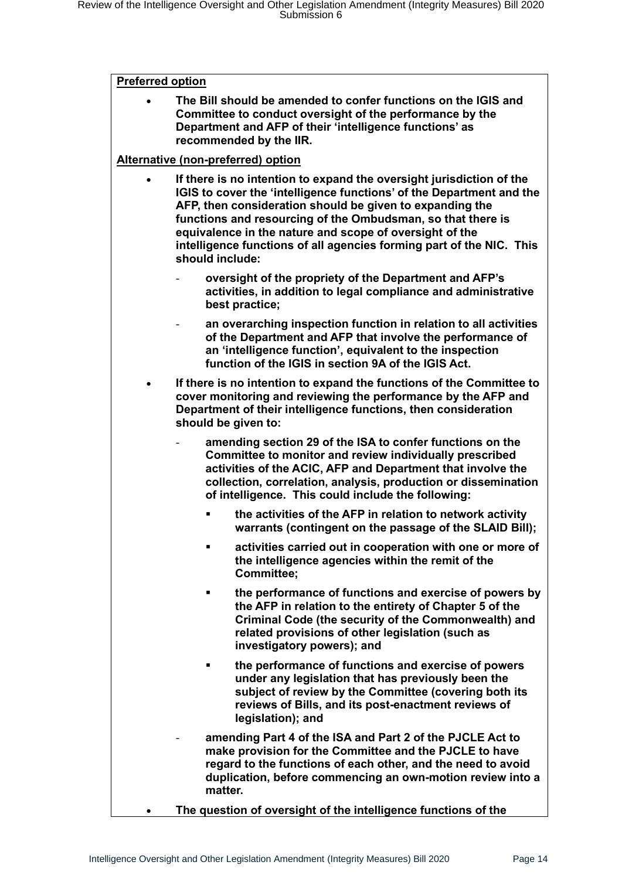#### **Preferred option**

• **The Bill should be amended to confer functions on the IGIS and Committee to conduct oversight of the performance by the Department and AFP of their 'intelligence functions' as recommended by the IIR.**

#### **Alternative (non-preferred) option**

- **If there is no intention to expand the oversight jurisdiction of the IGIS to cover the 'intelligence functions' of the Department and the AFP, then consideration should be given to expanding the functions and resourcing of the Ombudsman, so that there is equivalence in the nature and scope of oversight of the intelligence functions of all agencies forming part of the NIC. This should include:**
	- **oversight of the propriety of the Department and AFP's activities, in addition to legal compliance and administrative best practice;**
		- **an overarching inspection function in relation to all activities of the Department and AFP that involve the performance of an 'intelligence function', equivalent to the inspection function of the IGIS in section 9A of the IGIS Act.**
- **If there is no intention to expand the functions of the Committee to cover monitoring and reviewing the performance by the AFP and Department of their intelligence functions, then consideration should be given to:**
	- **amending section 29 of the ISA to confer functions on the Committee to monitor and review individually prescribed activities of the ACIC, AFP and Department that involve the collection, correlation, analysis, production or dissemination of intelligence. This could include the following:**
		- the activities of the AFP in relation to network activity **warrants (contingent on the passage of the SLAID Bill);**
		- activities carried out in cooperation with one or more of **the intelligence agencies within the remit of the Committee;**
		- the performance of functions and exercise of powers by **the AFP in relation to the entirety of Chapter 5 of the Criminal Code (the security of the Commonwealth) and related provisions of other legislation (such as investigatory powers); and**
		- **the performance of functions and exercise of powers under any legislation that has previously been the subject of review by the Committee (covering both its reviews of Bills, and its post-enactment reviews of legislation); and**
	- **amending Part 4 of the ISA and Part 2 of the PJCLE Act to make provision for the Committee and the PJCLE to have regard to the functions of each other, and the need to avoid duplication, before commencing an own-motion review into a matter.**
	- **The question of oversight of the intelligence functions of the**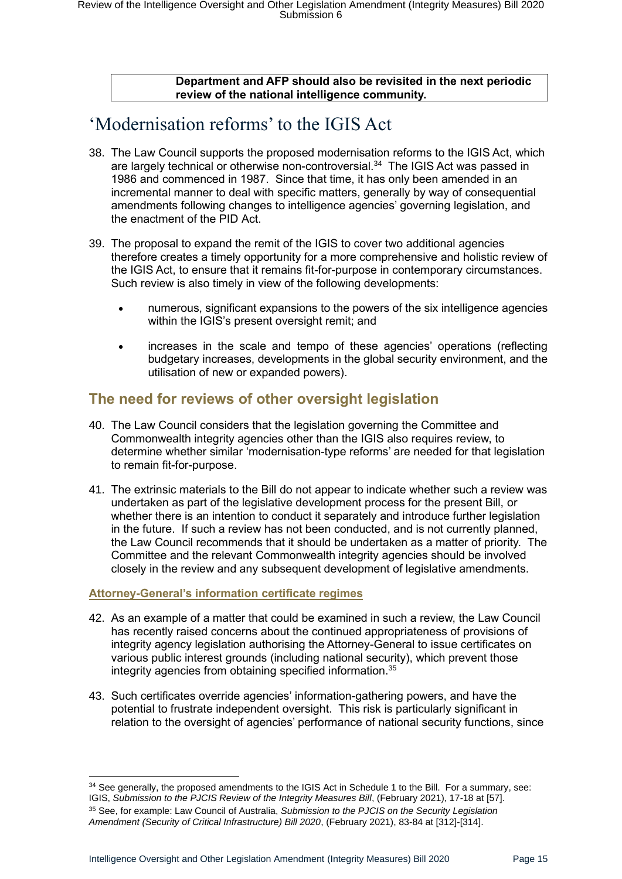#### **Department and AFP should also be revisited in the next periodic review of the national intelligence community.**

## <span id="page-14-0"></span>'Modernisation reforms' to the IGIS Act

- 38. The Law Council supports the proposed modernisation reforms to the IGIS Act, which are largely technical or otherwise non-controversial.<sup>34</sup> The IGIS Act was passed in 1986 and commenced in 1987. Since that time, it has only been amended in an incremental manner to deal with specific matters, generally by way of consequential amendments following changes to intelligence agencies' governing legislation, and the enactment of the PID Act.
- 39. The proposal to expand the remit of the IGIS to cover two additional agencies therefore creates a timely opportunity for a more comprehensive and holistic review of the IGIS Act, to ensure that it remains fit-for-purpose in contemporary circumstances. Such review is also timely in view of the following developments:
	- numerous, significant expansions to the powers of the six intelligence agencies within the IGIS's present oversight remit; and
	- increases in the scale and tempo of these agencies' operations (reflecting budgetary increases, developments in the global security environment, and the utilisation of new or expanded powers).

### <span id="page-14-1"></span>**The need for reviews of other oversight legislation**

- 40. The Law Council considers that the legislation governing the Committee and Commonwealth integrity agencies other than the IGIS also requires review, to determine whether similar 'modernisation-type reforms' are needed for that legislation to remain fit-for-purpose.
- 41. The extrinsic materials to the Bill do not appear to indicate whether such a review was undertaken as part of the legislative development process for the present Bill, or whether there is an intention to conduct it separately and introduce further legislation in the future. If such a review has not been conducted, and is not currently planned, the Law Council recommends that it should be undertaken as a matter of priority. The Committee and the relevant Commonwealth integrity agencies should be involved closely in the review and any subsequent development of legislative amendments.

#### <span id="page-14-2"></span>**Attorney-General's information certificate regimes**

- 42. As an example of a matter that could be examined in such a review, the Law Council has recently raised concerns about the continued appropriateness of provisions of integrity agency legislation authorising the Attorney-General to issue certificates on various public interest grounds (including national security), which prevent those integrity agencies from obtaining specified information.<sup>35</sup>
- 43. Such certificates override agencies' information-gathering powers, and have the potential to frustrate independent oversight. This risk is particularly significant in relation to the oversight of agencies' performance of national security functions, since

<sup>&</sup>lt;sup>34</sup> See generally, the proposed amendments to the IGIS Act in Schedule 1 to the Bill. For a summary, see: IGIS, *Submission to the PJCIS Review of the Integrity Measures Bill*, (February 2021), 17-18 at [57].

<sup>35</sup> See, for example: Law Council of Australia, *Submission to the PJCIS on the Security Legislation Amendment (Security of Critical Infrastructure) Bill 2020*, (February 2021), 83-84 at [312]-[314].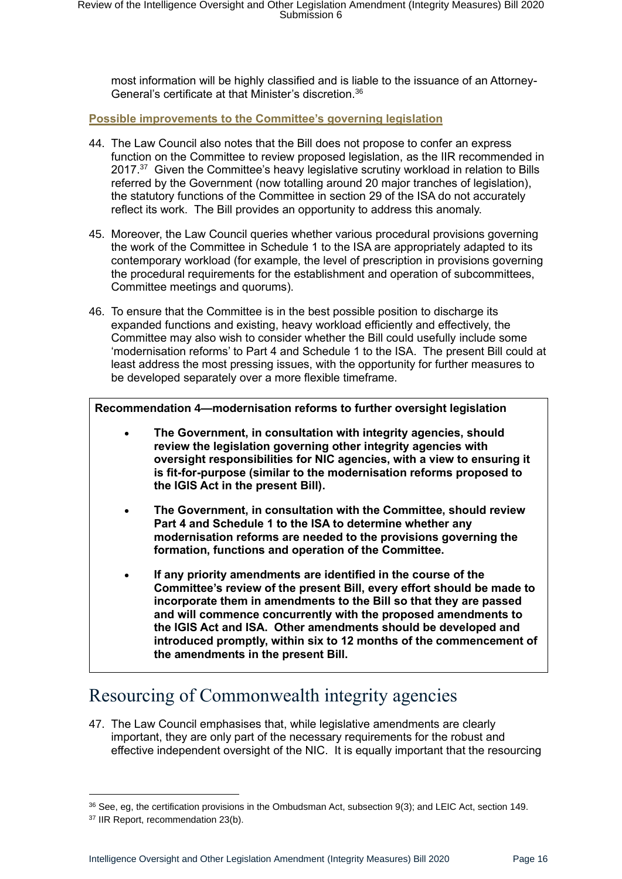most information will be highly classified and is liable to the issuance of an Attorney-General's certificate at that Minister's discretion. 36

<span id="page-15-0"></span>**Possible improvements to the Committee's governing legislation**

- 44. The Law Council also notes that the Bill does not propose to confer an express function on the Committee to review proposed legislation, as the IIR recommended in 2017.<sup>37</sup> Given the Committee's heavy legislative scrutiny workload in relation to Bills referred by the Government (now totalling around 20 major tranches of legislation), the statutory functions of the Committee in section 29 of the ISA do not accurately reflect its work. The Bill provides an opportunity to address this anomaly.
- 45. Moreover, the Law Council queries whether various procedural provisions governing the work of the Committee in Schedule 1 to the ISA are appropriately adapted to its contemporary workload (for example, the level of prescription in provisions governing the procedural requirements for the establishment and operation of subcommittees, Committee meetings and quorums).
- 46. To ensure that the Committee is in the best possible position to discharge its expanded functions and existing, heavy workload efficiently and effectively, the Committee may also wish to consider whether the Bill could usefully include some 'modernisation reforms' to Part 4 and Schedule 1 to the ISA. The present Bill could at least address the most pressing issues, with the opportunity for further measures to be developed separately over a more flexible timeframe.

**Recommendation 4—modernisation reforms to further oversight legislation**

- **The Government, in consultation with integrity agencies, should review the legislation governing other integrity agencies with oversight responsibilities for NIC agencies, with a view to ensuring it is fit-for-purpose (similar to the modernisation reforms proposed to the IGIS Act in the present Bill).**
- **The Government, in consultation with the Committee, should review Part 4 and Schedule 1 to the ISA to determine whether any modernisation reforms are needed to the provisions governing the formation, functions and operation of the Committee.**
- **If any priority amendments are identified in the course of the Committee's review of the present Bill, every effort should be made to incorporate them in amendments to the Bill so that they are passed and will commence concurrently with the proposed amendments to the IGIS Act and ISA. Other amendments should be developed and introduced promptly, within six to 12 months of the commencement of the amendments in the present Bill.**

# <span id="page-15-1"></span>Resourcing of Commonwealth integrity agencies

47. The Law Council emphasises that, while legislative amendments are clearly important, they are only part of the necessary requirements for the robust and effective independent oversight of the NIC. It is equally important that the resourcing

 $36$  See, eg, the certification provisions in the Ombudsman Act, subsection 9(3); and LEIC Act, section 149. <sup>37</sup> IIR Report, recommendation 23(b).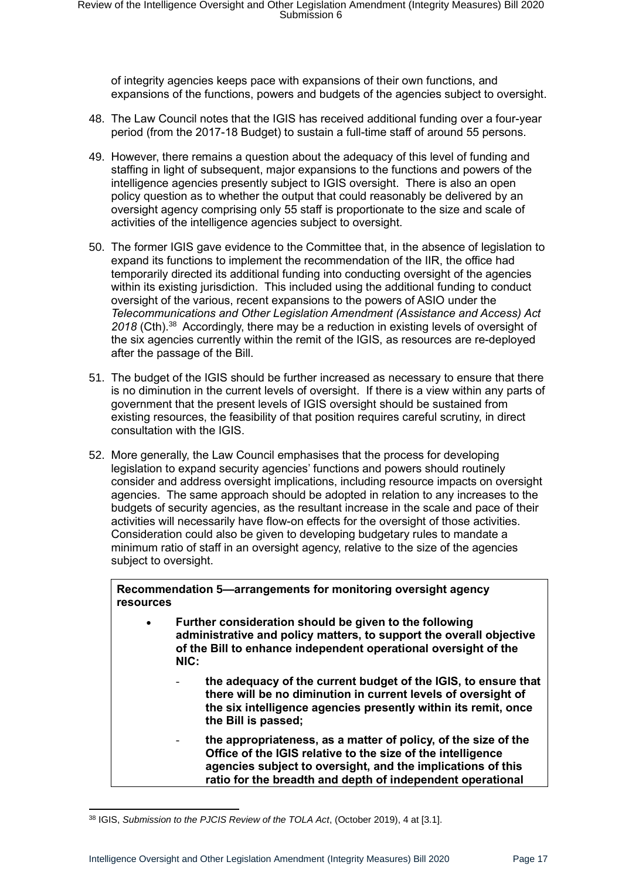of integrity agencies keeps pace with expansions of their own functions, and expansions of the functions, powers and budgets of the agencies subject to oversight.

- 48. The Law Council notes that the IGIS has received additional funding over a four-year period (from the 2017-18 Budget) to sustain a full-time staff of around 55 persons.
- 49. However, there remains a question about the adequacy of this level of funding and staffing in light of subsequent, major expansions to the functions and powers of the intelligence agencies presently subject to IGIS oversight. There is also an open policy question as to whether the output that could reasonably be delivered by an oversight agency comprising only 55 staff is proportionate to the size and scale of activities of the intelligence agencies subject to oversight.
- 50. The former IGIS gave evidence to the Committee that, in the absence of legislation to expand its functions to implement the recommendation of the IIR, the office had temporarily directed its additional funding into conducting oversight of the agencies within its existing jurisdiction. This included using the additional funding to conduct oversight of the various, recent expansions to the powers of ASIO under the *Telecommunications and Other Legislation Amendment (Assistance and Access) Act*  2018 (Cth).<sup>38</sup> Accordingly, there may be a reduction in existing levels of oversight of the six agencies currently within the remit of the IGIS, as resources are re-deployed after the passage of the Bill.
- 51. The budget of the IGIS should be further increased as necessary to ensure that there is no diminution in the current levels of oversight. If there is a view within any parts of government that the present levels of IGIS oversight should be sustained from existing resources, the feasibility of that position requires careful scrutiny, in direct consultation with the IGIS.
- 52. More generally, the Law Council emphasises that the process for developing legislation to expand security agencies' functions and powers should routinely consider and address oversight implications, including resource impacts on oversight agencies. The same approach should be adopted in relation to any increases to the budgets of security agencies, as the resultant increase in the scale and pace of their activities will necessarily have flow-on effects for the oversight of those activities. Consideration could also be given to developing budgetary rules to mandate a minimum ratio of staff in an oversight agency, relative to the size of the agencies subject to oversight.

**Recommendation 5—arrangements for monitoring oversight agency resources**

- **Further consideration should be given to the following administrative and policy matters, to support the overall objective of the Bill to enhance independent operational oversight of the NIC:**
	- **the adequacy of the current budget of the IGIS, to ensure that there will be no diminution in current levels of oversight of the six intelligence agencies presently within its remit, once the Bill is passed;**
	- **the appropriateness, as a matter of policy, of the size of the Office of the IGIS relative to the size of the intelligence agencies subject to oversight, and the implications of this ratio for the breadth and depth of independent operational**

<sup>38</sup> IGIS, *Submission to the PJCIS Review of the TOLA Act*, (October 2019), 4 at [3.1].